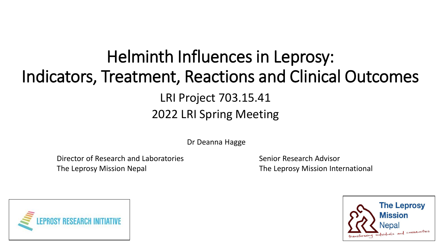## Helminth Influences in Leprosy: Indicators, Treatment, Reactions and Clinical Outcomes LRI Project 703.15.41 2022 LRI Spring Meeting

Dr Deanna Hagge

Director of Research and Laboratories The Leprosy Mission Nepal

Senior Research Advisor The Leprosy Mission International



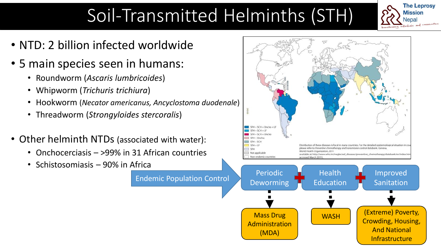# Soil-Transmitted Helminths (STH)

- NTD: 2 billion infected worldwide
- 5 main species seen in humans:
	- Roundworm (*Ascaris lumbricoides*)
	- Whipworm (*Trichuris trichiura*)
	- Hookworm (*Necator americanus, Ancyclostoma duodenale*)
	- Threadworm (*Strongyloides stercoralis*)
- Other helminth NTDs (associated with water):
	- Onchocerciasis >99% in 31 African countries
	- Schistosomiasis 90% in Africa



 $STH + SCH + Oncho + LF$  $STH + SCH + LF$  $STH + SCH + Onche$  $\Box$  STH + Oncho

Administration (MDA)

WASH  $\bigcap$  (Extreme) Poverty, Crowding, Housing, And National Infrastructure

Improved

**The Leprosy** 

Is and connuntes

**Mission** Nepal

Sanitation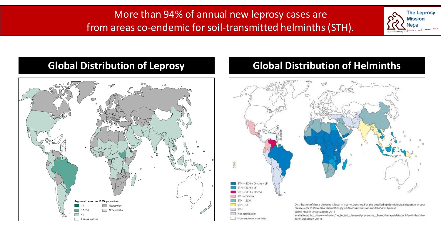#### More than 94% of annual new leprosy cases are from areas co-endemic for soil-transmitted helminths (STH).



#### **Global Distribution of Leprosy**



#### **Global Distribution of Helminths**

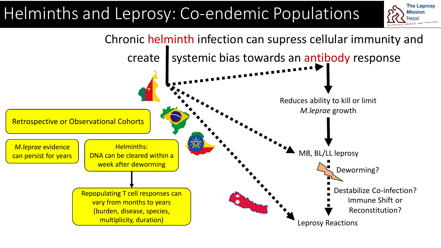# Helminths and Leprosy: Co-endemic Populations



**The Leprosy Mission** Nepal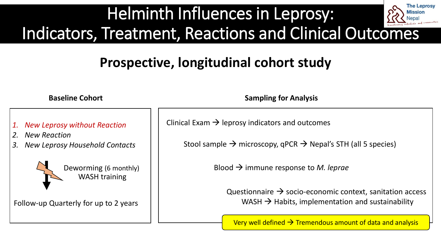#### **The Leprosy** Helminth Influences in Leprosy: *l*issio Nepa Indicators, Treatment, Reactions and Clinical Outcomes

## **Prospective, longitudinal cohort study**

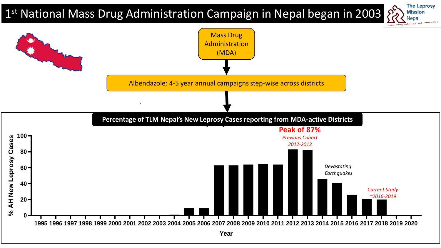### 1 st National Mass Drug Administration Campaign in Nepal began in 2003



**The Leprosy** 

**Mission** Nepal

 $\Omega$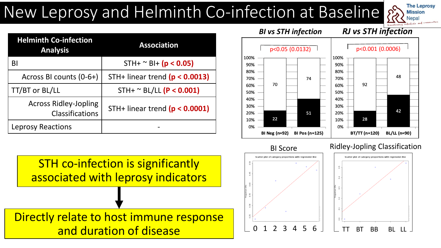## New Leprosy and Helminth Co-infection at Baseline

| <b>The Leprosy</b>                       |
|------------------------------------------|
| <b>Mission</b>                           |
| Nepal                                    |
| transforming individuals and communities |

| <b>Helminth Co-infection</b><br><b>Analysis</b>        | <b>Association</b>               |  |
|--------------------------------------------------------|----------------------------------|--|
| BI                                                     | STH+ $^{\sim}$ BI+ (p < 0.05)    |  |
| Across BI counts (0-6+)                                | STH+ linear trend $(p < 0.0013)$ |  |
| TT/BT or BL/LL                                         | $STH+ \sim BL/LL$ (P < 0.001)    |  |
| <b>Across Ridley-Jopling</b><br><b>Classifications</b> | STH+ linear trend $(p < 0.0001)$ |  |
| <b>Leprosy Reactions</b>                               |                                  |  |

STH co-infection is significantly associated with leprosy indicators

Directly relate to host immune response and duration of disease



BI Score

Ridley-Jopling Classification



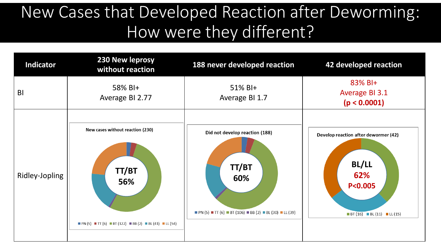# New Cases that Developed Reaction after Deworming: How were they different?

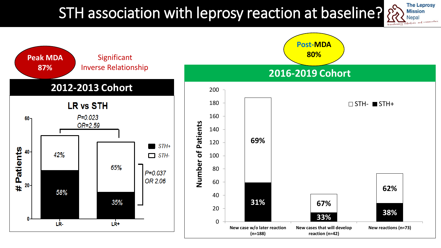## STH association with leprosy reaction at baseline?



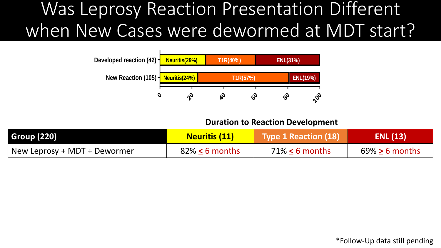#### **RJ(335) BI(335) Neg(40%) Pos (60%) Sex(335) Male(67%) Female(33%)** when New Cases were dewormed at MDT start? Was Leprosy Reaction Presentation Different



#### **Duration to Reaction Development**

| <b>Group (220)</b>           | <b>Neuritis (11)</b> | <b>Type 1 Reaction (18)</b> | <b>ENL (13)</b>   |
|------------------------------|----------------------|-----------------------------|-------------------|
| New Leprosy + MDT + Dewormer | $82\% < 6$ months    | $71\% < 6$ months           | $69\% > 6$ months |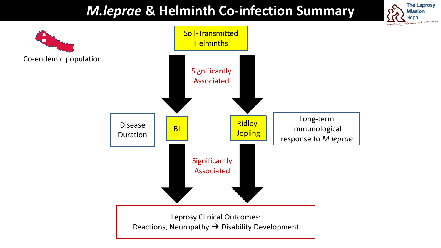### *M.leprae* **& Helminth Co-infection Summary**

**The Leprosy Mission** Nepal

1 connunties

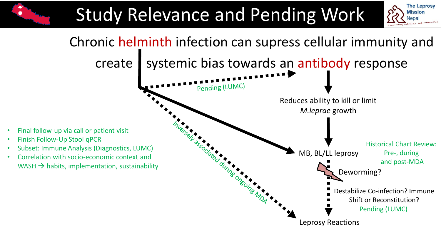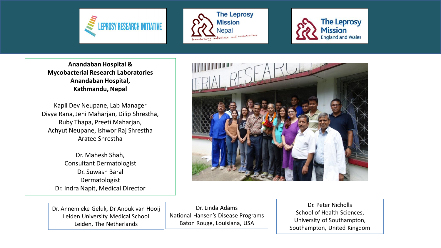





**Anandaban Hospital & Mycobacterial Research Laboratories Anandaban Hospital, Kathmandu, Nepal** 

Kapil Dev Neupane, Lab Manager Divya Rana, Jeni Maharjan, Dilip Shrestha, Ruby Thapa, Preeti Maharjan, Achyut Neupane, Ishwor Raj Shrestha Aratee Shrestha

> Dr. Mahesh Shah, Consultant Dermatologist Dr. Suwash Baral Dermatologist Dr. Indra Napit, Medical Director



Dr. Annemieke Geluk, Dr Anouk van Hooij Leiden University Medical School Leiden, The Netherlands

Dr. Linda Adams National Hansen's Disease Programs Baton Rouge, Louisiana, USA

Dr. Peter Nicholls School of Health Sciences, University of Southampton, Southampton, United Kingdom